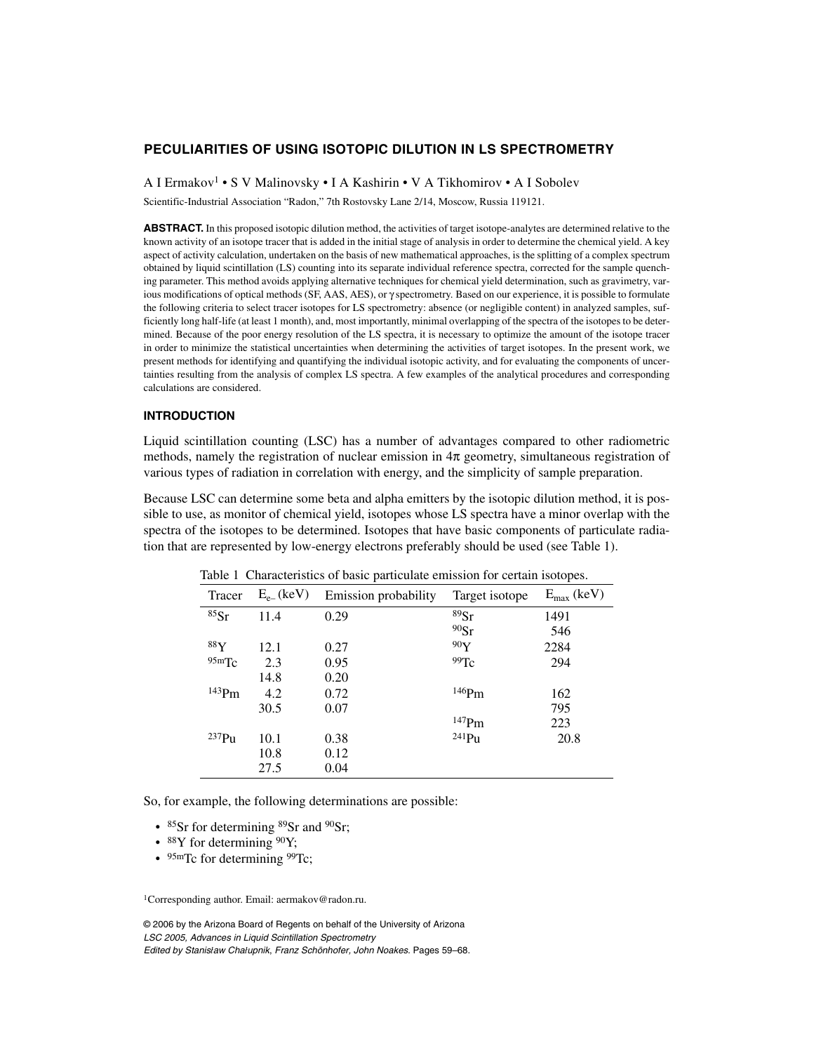# **PECULIARITIES OF USING ISOTOPIC DILUTION IN LS SPECTROMETRY**

A I Ermakov1 • S V Malinovsky • I A Kashirin • V A Tikhomirov • A I Sobolev

Scientific-Industrial Association "Radon," 7th Rostovsky Lane 2/14, Moscow, Russia 119121.

**ABSTRACT.** In this proposed isotopic dilution method, the activities of target isotope-analytes are determined relative to the known activity of an isotope tracer that is added in the initial stage of analysis in order to determine the chemical yield. A key aspect of activity calculation, undertaken on the basis of new mathematical approaches, is the splitting of a complex spectrum obtained by liquid scintillation (LS) counting into its separate individual reference spectra, corrected for the sample quenching parameter. This method avoids applying alternative techniques for chemical yield determination, such as gravimetry, various modifications of optical methods (SF, AAS, AES), or γ spectrometry. Based on our experience, it is possible to formulate the following criteria to select tracer isotopes for LS spectrometry: absence (or negligible content) in analyzed samples, sufficiently long half-life (at least 1 month), and, most importantly, minimal overlapping of the spectra of the isotopes to be determined. Because of the poor energy resolution of the LS spectra, it is necessary to optimize the amount of the isotope tracer in order to minimize the statistical uncertainties when determining the activities of target isotopes. In the present work, we present methods for identifying and quantifying the individual isotopic activity, and for evaluating the components of uncertainties resulting from the analysis of complex LS spectra. A few examples of the analytical procedures and corresponding calculations are considered.

# **INTRODUCTION**

Liquid scintillation counting (LSC) has a number of advantages compared to other radiometric methods, namely the registration of nuclear emission in  $4\pi$  geometry, simultaneous registration of various types of radiation in correlation with energy, and the simplicity of sample preparation.

Because LSC can determine some beta and alpha emitters by the isotopic dilution method, it is possible to use, as monitor of chemical yield, isotopes whose LS spectra have a minor overlap with the spectra of the isotopes to be determined. Isotopes that have basic components of particulate radiation that are represented by low-energy electrons preferably should be used (see Table 1).

| Tracer   | $E_{e}$ (keV) | Emission probability | Target isotope      | $E_{\text{max}}$ (keV) |
|----------|---------------|----------------------|---------------------|------------------------|
| 85Sr     | 11.4          | 0.29                 | 89Sr                | 1491                   |
|          |               |                      | 90Sr                | 546                    |
| 88Y      | 12.1          | 0.27                 | 90Y                 | 2284                   |
| 95mTc    | 2.3           | 0.95                 | 99Tc                | 294                    |
|          | 14.8          | 0.20                 |                     |                        |
| $143$ Pm | 4.2           | 0.72                 | $146$ Pm            | 162                    |
|          | 30.5          | 0.07                 |                     | 795                    |
|          |               |                      | $^{147}\mathrm{Pm}$ | 223                    |
| $237$ Pu | 10.1          | 0.38                 | $^{241}Pu$          | 20.8                   |
|          | 10.8          | 0.12                 |                     |                        |
|          | 27.5          | 0.04                 |                     |                        |

Table 1 Characteristics of basic particulate emission for certain isotopes.

So, for example, the following determinations are possible:

- 85Sr for determining 89Sr and 90Sr;
- $88Y$  for determining  $90Y$ ;
- 95mTc for determining 99Tc;

1Corresponding author. Email: aermakov@radon.ru.

© 2006 by the Arizona Board of Regents on behalf of the University of Arizona LSC 2005, Advances in Liquid Scintillation Spectrometry Edited by Stanis*≥*aw Cha*≥*upnik, Franz Schönhofer, John Noakes. Pages 59–68.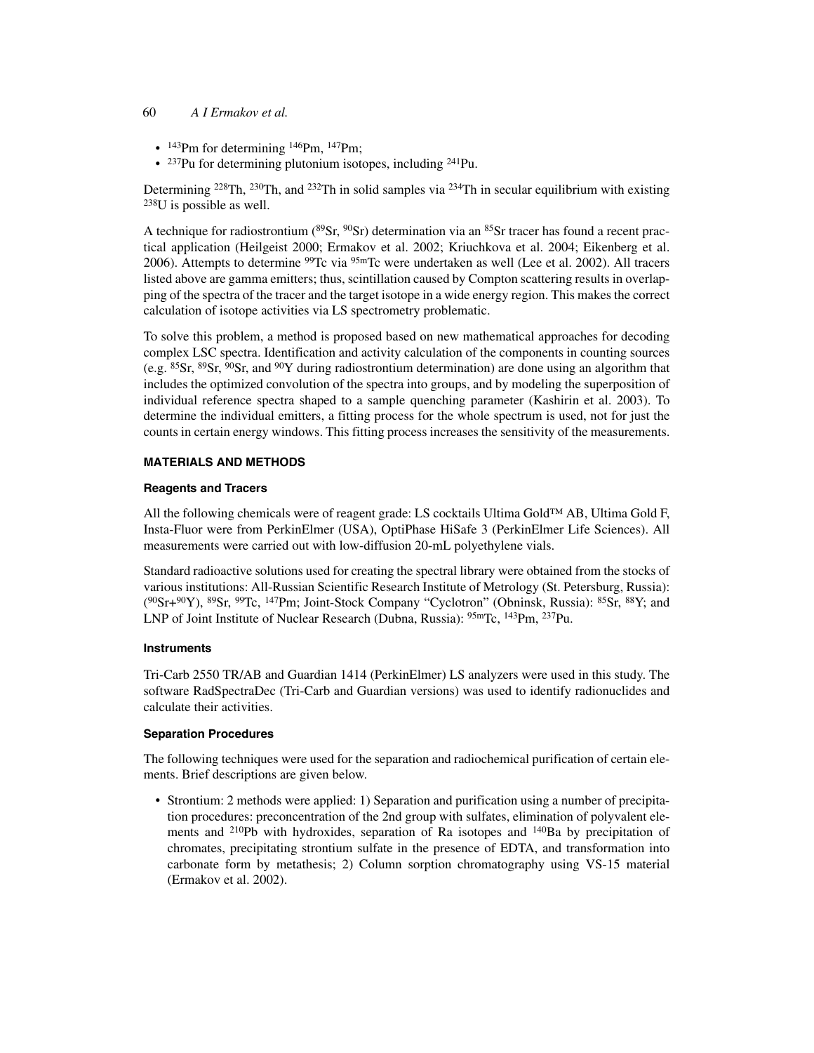#### 60 *A I Ermakov et al.*

- $\cdot$  <sup>143</sup>Pm for determining <sup>146</sup>Pm, <sup>147</sup>Pm;
- $\cdot$  <sup>237</sup>Pu for determining plutonium isotopes, including <sup>241</sup>Pu.

Determining <sup>228</sup>Th, <sup>230</sup>Th, and <sup>232</sup>Th in solid samples via <sup>234</sup>Th in secular equilibrium with existing 238U is possible as well.

A technique for radiostrontium ( ${}^{89}Sr$ ,  ${}^{90}Sr$ ) determination via an  ${}^{85}Sr$  tracer has found a recent practical application (Heilgeist 2000; Ermakov et al. 2002; Kriuchkova et al. 2004; Eikenberg et al. 2006). Attempts to determine <sup>99</sup>Tc via <sup>95m</sup>Tc were undertaken as well (Lee et al. 2002). All tracers listed above are gamma emitters; thus, scintillation caused by Compton scattering results in overlapping of the spectra of the tracer and the target isotope in a wide energy region. This makes the correct calculation of isotope activities via LS spectrometry problematic.

To solve this problem, a method is proposed based on new mathematical approaches for decoding complex LSC spectra. Identification and activity calculation of the components in counting sources (e.g. 85Sr, 89Sr, 90Sr, and 90Y during radiostrontium determination) are done using an algorithm that includes the optimized convolution of the spectra into groups, and by modeling the superposition of individual reference spectra shaped to a sample quenching parameter (Kashirin et al. 2003). To determine the individual emitters, a fitting process for the whole spectrum is used, not for just the counts in certain energy windows. This fitting process increases the sensitivity of the measurements.

# **MATERIALS AND METHODS**

## **Reagents and Tracers**

All the following chemicals were of reagent grade: LS cocktails Ultima Gold™ AB, Ultima Gold F, Insta-Fluor were from PerkinElmer (USA), OptiPhase HiSafe 3 (PerkinElmer Life Sciences). All measurements were carried out with low-diffusion 20-mL polyethylene vials.

Standard radioactive solutions used for creating the spectral library were obtained from the stocks of various institutions: All-Russian Scientific Research Institute of Metrology (St. Petersburg, Russia):  $(^{90}Sr+^{90}Y)$ ,  $^{89}Sr$ ,  $^{99}Te$ ,  $^{147}Pm$ ; Joint-Stock Company "Cyclotron" (Obninsk, Russia):  $^{85}Sr$ ,  $^{88}Y$ ; and LNP of Joint Institute of Nuclear Research (Dubna, Russia): 95mTc, 143Pm, 237Pu.

## **Instruments**

Tri-Carb 2550 TR/AB and Guardian 1414 (PerkinElmer) LS analyzers were used in this study. The software RadSpectraDec (Tri-Carb and Guardian versions) was used to identify radionuclides and calculate their activities.

## **Separation Procedures**

The following techniques were used for the separation and radiochemical purification of certain elements. Brief descriptions are given below.

• Strontium: 2 methods were applied: 1) Separation and purification using a number of precipitation procedures: preconcentration of the 2nd group with sulfates, elimination of polyvalent elements and  $^{210}Pb$  with hydroxides, separation of Ra isotopes and  $^{140}Ba$  by precipitation of chromates, precipitating strontium sulfate in the presence of EDTA, and transformation into carbonate form by metathesis; 2) Column sorption chromatography using VS-15 material (Ermakov et al. 2002).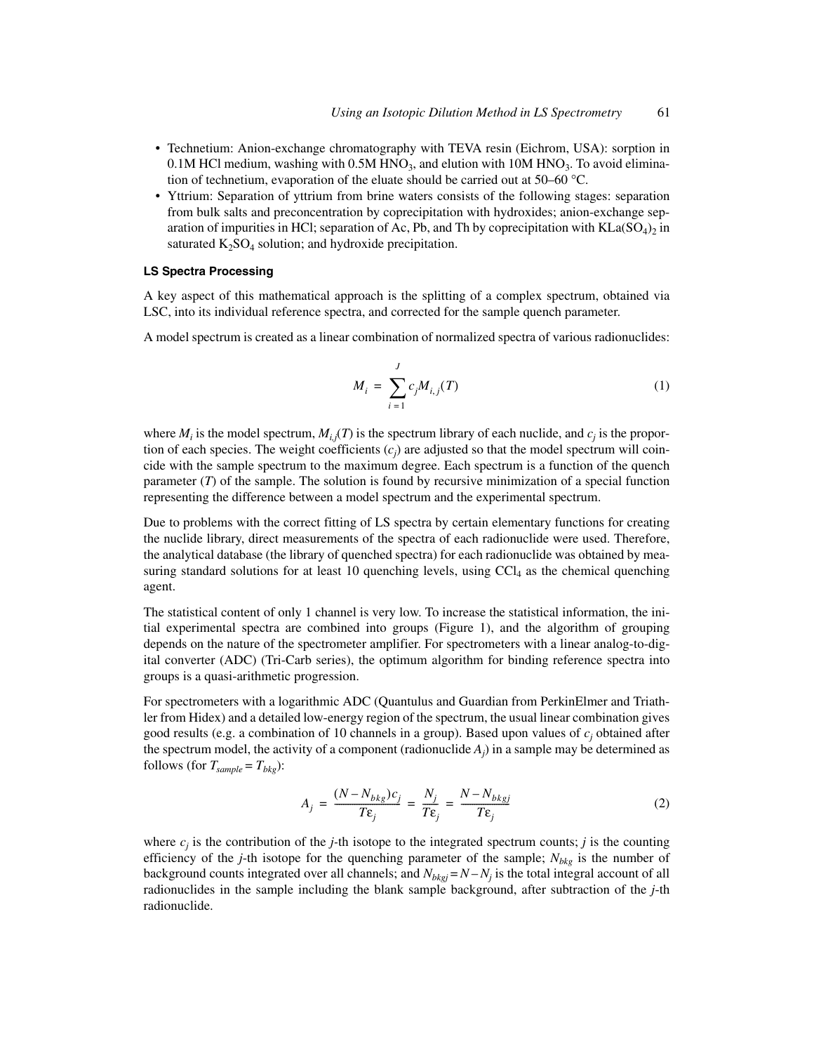- Technetium: Anion-exchange chromatography with TEVA resin (Eichrom, USA): sorption in 0.1M HCl medium, washing with  $0.5M$  HNO<sub>3</sub>, and elution with 10M HNO<sub>3</sub>. To avoid elimination of technetium, evaporation of the eluate should be carried out at 50–60 °C.
- Yttrium: Separation of yttrium from brine waters consists of the following stages: separation from bulk salts and preconcentration by coprecipitation with hydroxides; anion-exchange separation of impurities in HCl; separation of Ac, Pb, and Th by coprecipitation with  $KL(SO_4)_2$  in saturated  $K_2SO_4$  solution; and hydroxide precipitation.

## **LS Spectra Processing**

A key aspect of this mathematical approach is the splitting of a complex spectrum, obtained via LSC, into its individual reference spectra, and corrected for the sample quench parameter.

A model spectrum is created as a linear combination of normalized spectra of various radionuclides:

$$
M_i = \sum_{i=1}^{J} c_j M_{i,j}(T)
$$
 (1)

where  $M_i$  is the model spectrum,  $M_{i,j}(T)$  is the spectrum library of each nuclide, and  $c_j$  is the proportion of each species. The weight coefficients  $(c_j)$  are adjusted so that the model spectrum will coincide with the sample spectrum to the maximum degree. Each spectrum is a function of the quench parameter (*T*) of the sample. The solution is found by recursive minimization of a special function representing the difference between a model spectrum and the experimental spectrum.

Due to problems with the correct fitting of LS spectra by certain elementary functions for creating the nuclide library, direct measurements of the spectra of each radionuclide were used. Therefore, the analytical database (the library of quenched spectra) for each radionuclide was obtained by measuring standard solutions for at least 10 quenching levels, using  $\text{CCl}_4$  as the chemical quenching agent.

The statistical content of only 1 channel is very low. To increase the statistical information, the initial experimental spectra are combined into groups (Figure 1), and the algorithm of grouping depends on the nature of the spectrometer amplifier. For spectrometers with a linear analog-to-digital converter (ADC) (Tri-Carb series), the optimum algorithm for binding reference spectra into groups is a quasi-arithmetic progression.

For spectrometers with a logarithmic ADC (Quantulus and Guardian from PerkinElmer and Triathler from Hidex) and a detailed low-energy region of the spectrum, the usual linear combination gives good results (e.g. a combination of 10 channels in a group). Based upon values of  $c_j$  obtained after the spectrum model, the activity of a component (radionuclide  $A_j$ ) in a sample may be determined as follows (for  $T_{sample} = T_{bkg}$ ):

$$
A_j = \frac{(N - N_{bkg})c_j}{T\epsilon_j} = \frac{N_j}{T\epsilon_j} = \frac{N - N_{bkgj}}{T\epsilon_j}
$$
(2)

where  $c_j$  is the contribution of the *j*-th isotope to the integrated spectrum counts; *j* is the counting efficiency of the *j*-th isotope for the quenching parameter of the sample;  $N_{bkg}$  is the number of background counts integrated over all channels; and  $N_{bkgj} = N - N_j$  is the total integral account of all radionuclides in the sample including the blank sample background, after subtraction of the *j*-th radionuclide.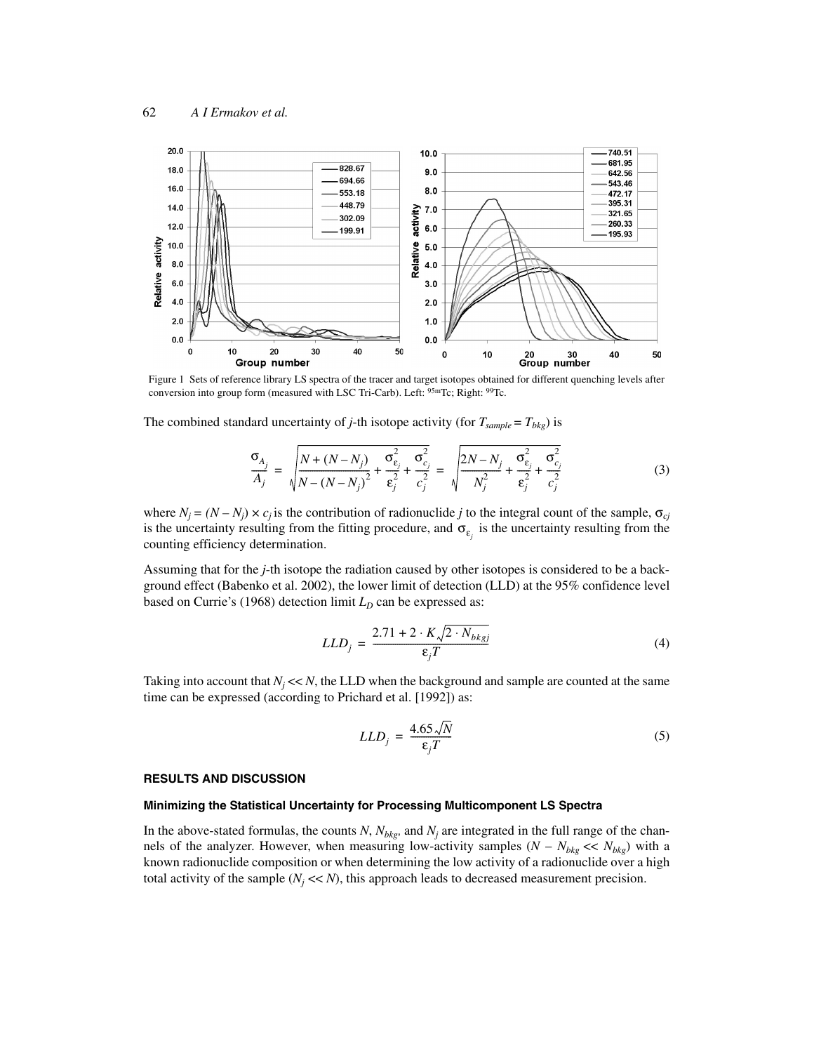

Figure 1 Sets of reference library LS spectra of the tracer and target isotopes obtained for different quenching levels after conversion into group form (measured with LSC Tri-Carb). Left: 95mTc; Right: 99Tc.

The combined standard uncertainty of *j*-th isotope activity (for  $T_{sample} = T_{bkg}$ ) is

$$
\frac{\sigma_{A_j}}{A_j} = \sqrt{\frac{N + (N - N_j)}{N - (N - N_j)^2} + \frac{\sigma_{\varepsilon_j}^2}{\varepsilon_j^2} + \frac{\sigma_{\varepsilon_j}^2}{c_j^2}} = \sqrt{\frac{2N - N_j}{N_j^2} + \frac{\sigma_{\varepsilon_j}^2}{\varepsilon_j^2} + \frac{\sigma_{\varepsilon_j}^2}{c_j^2}} \tag{3}
$$

where  $N_j = (N - N_j) \times c_j$  is the contribution of radionuclide *j* to the integral count of the sample,  $\sigma_{cj}$ is the uncertainty resulting from the fitting procedure, and  $\sigma_{\varepsilon_j}$  is the uncertainty resulting from the counting efficiency determination.

Assuming that for the *j*-th isotope the radiation caused by other isotopes is considered to be a background effect (Babenko et al. 2002), the lower limit of detection (LLD) at the 95% confidence level based on Currie's (1968) detection limit  $L_D$  can be expressed as:

$$
LLD_j = \frac{2.71 + 2 \cdot K \sqrt{2} \cdot N_{bkgj}}{\varepsilon_j T} \tag{4}
$$

Taking into account that  $N_j \ll N$ , the LLD when the background and sample are counted at the same time can be expressed (according to Prichard et al. [1992]) as:

$$
LLD_j = \frac{4.65\sqrt{N}}{\epsilon_j T} \tag{5}
$$

#### **RESULTS AND DISCUSSION**

# **Minimizing the Statistical Uncertainty for Processing Multicomponent LS Spectra**

In the above-stated formulas, the counts  $N$ ,  $N_{bkg}$ , and  $N_j$  are integrated in the full range of the channels of the analyzer. However, when measuring low-activity samples  $(N - N_{bkg} \ll N_{bkg})$  with a known radionuclide composition or when determining the low activity of a radionuclide over a high total activity of the sample  $(N_i \ll N)$ , this approach leads to decreased measurement precision.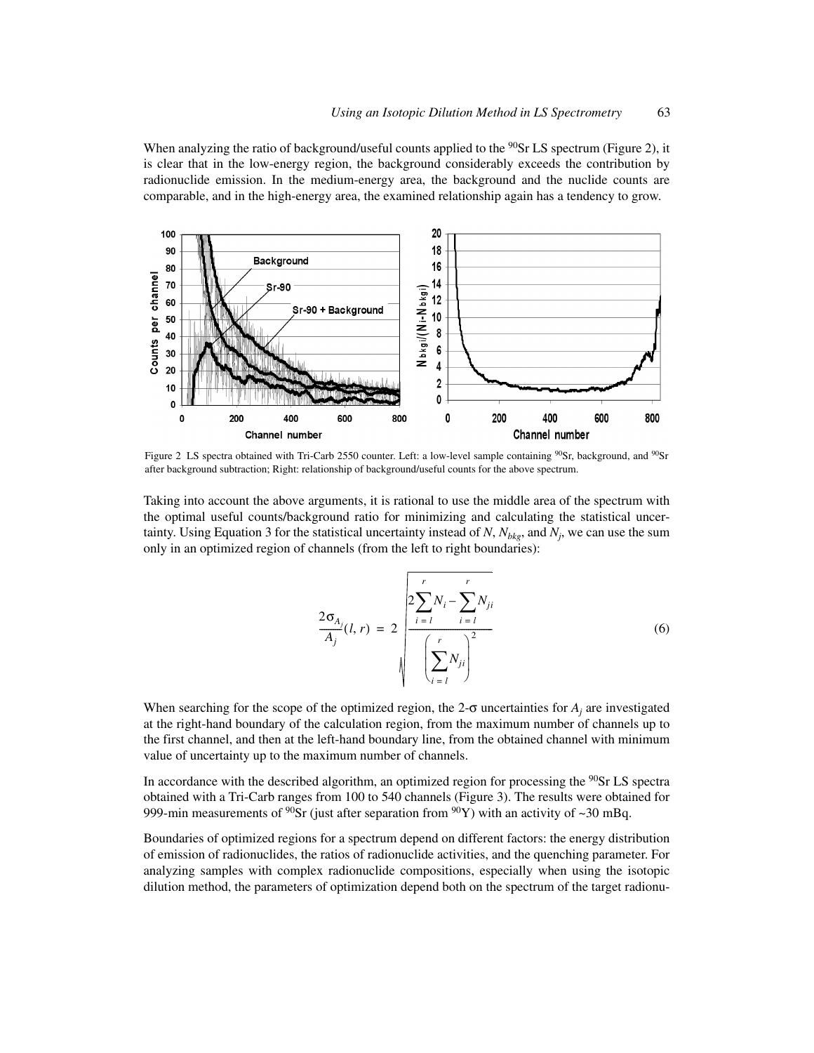When analyzing the ratio of background/useful counts applied to the  $90Sr$  LS spectrum (Figure 2), it is clear that in the low-energy region, the background considerably exceeds the contribution by radionuclide emission. In the medium-energy area, the background and the nuclide counts are comparable, and in the high-energy area, the examined relationship again has a tendency to grow.



Figure 2 LS spectra obtained with Tri-Carb 2550 counter. Left: a low-level sample containing <sup>90</sup>Sr, background, and <sup>90</sup>Sr after background subtraction; Right: relationship of background/useful counts for the above spectrum.

Taking into account the above arguments, it is rational to use the middle area of the spectrum with the optimal useful counts/background ratio for minimizing and calculating the statistical uncertainty. Using Equation 3 for the statistical uncertainty instead of  $N$ ,  $N_{bkg}$ , and  $N_j$ , we can use the sum only in an optimized region of channels (from the left to right boundaries):

$$
\frac{2\sigma_{A_j}}{A_j}(l, r) = 2\sqrt{\frac{2\sum_{i=1}^{r} N_i - \sum_{i=1}^{r} N_{ji}}{\left(\sum_{i=1}^{r} N_{ji}\right)^2}}
$$
(6)

When searching for the scope of the optimized region, the 2- $\sigma$  uncertainties for  $A_j$  are investigated at the right-hand boundary of the calculation region, from the maximum number of channels up to the first channel, and then at the left-hand boundary line, from the obtained channel with minimum value of uncertainty up to the maximum number of channels.

In accordance with the described algorithm, an optimized region for processing the <sup>90</sup>Sr LS spectra obtained with a Tri-Carb ranges from 100 to 540 channels (Figure 3). The results were obtained for 999-min measurements of <sup>90</sup>Sr (just after separation from  $90Y$ ) with an activity of ~30 mBq.

Boundaries of optimized regions for a spectrum depend on different factors: the energy distribution of emission of radionuclides, the ratios of radionuclide activities, and the quenching parameter. For analyzing samples with complex radionuclide compositions, especially when using the isotopic dilution method, the parameters of optimization depend both on the spectrum of the target radionu-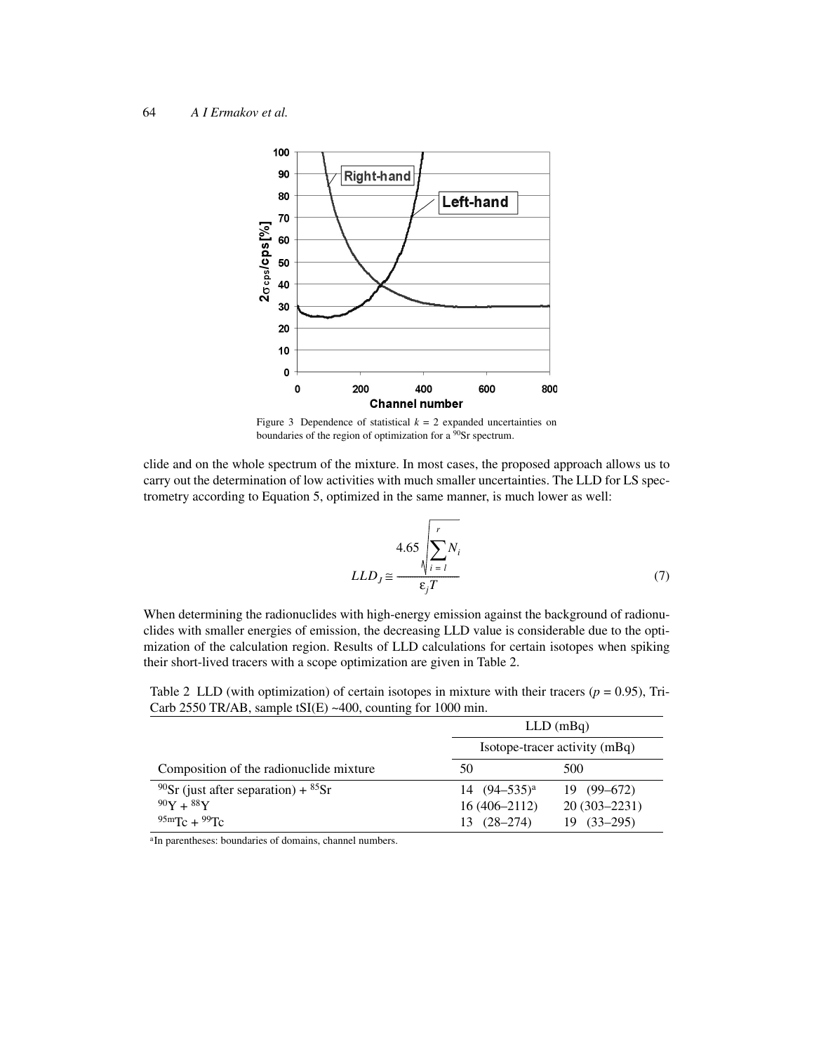

Figure 3 Dependence of statistical  $k = 2$  expanded uncertainties on boundaries of the region of optimization for a <sup>90</sup>Sr spectrum.

clide and on the whole spectrum of the mixture. In most cases, the proposed approach allows us to carry out the determination of low activities with much smaller uncertainties. The LLD for LS spectrometry according to Equation 5, optimized in the same manner, is much lower as well:

$$
LLD_J \cong \frac{4.65 \sqrt{\sum_{i=1}^r N_i}}{\varepsilon_j T}
$$
 (7)

When determining the radionuclides with high-energy emission against the background of radionuclides with smaller energies of emission, the decreasing LLD value is considerable due to the optimization of the calculation region. Results of LLD calculations for certain isotopes when spiking their short-lived tracers with a scope optimization are given in Table 2.

Table 2 LLD (with optimization) of certain isotopes in mixture with their tracers ( $p = 0.95$ ), Tri-Carb 2550 TR/AB, sample tSI(E) ~400, counting for 1000 min.

|                                                    | $LLD$ (mBq)                   |                  |  |
|----------------------------------------------------|-------------------------------|------------------|--|
|                                                    | Isotope-tracer activity (mBq) |                  |  |
| Composition of the radionuclide mixture            | 50                            | 500              |  |
| <sup>90</sup> Sr (just after separation) + $85$ Sr | 14 $(94-535)^a$               | $19(99-672)$     |  |
| $90Y + 88Y$                                        | $16(406 - 2112)$              | $20(303 - 2231)$ |  |
| $95mTc + 99Tc$                                     | $13(28-274)$                  | $19(33-295)$     |  |

<sup>a</sup>In parentheses: boundaries of domains, channel numbers.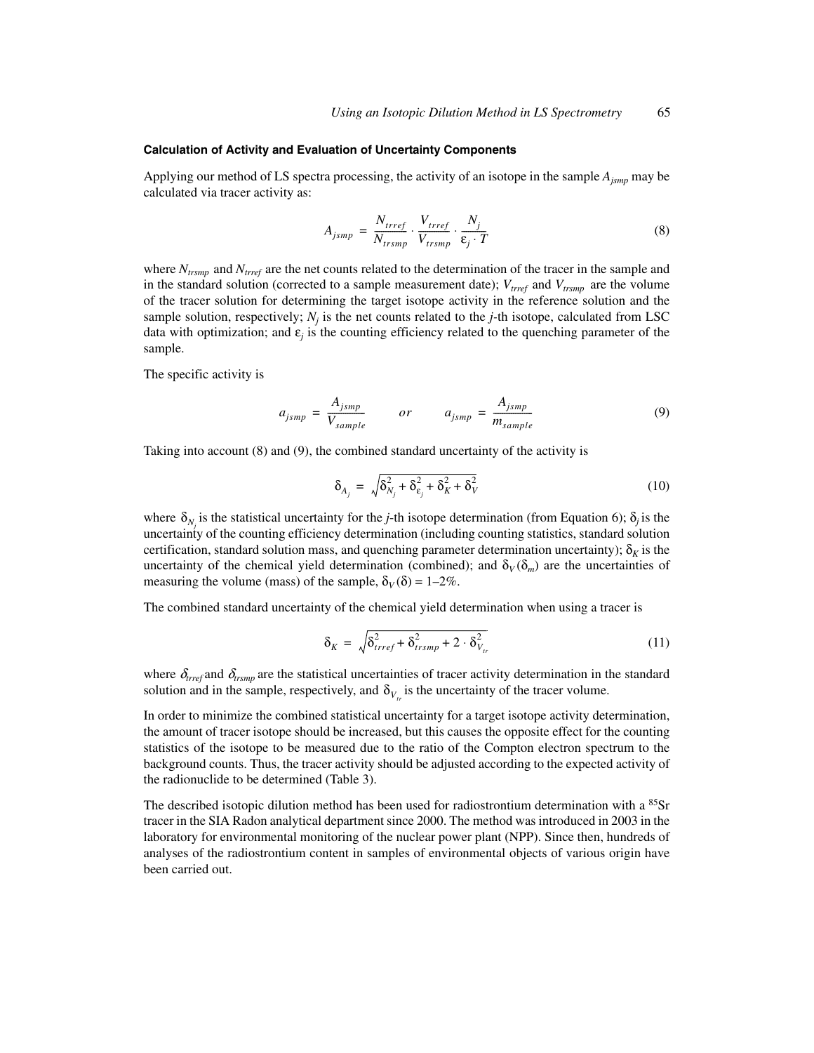#### **Calculation of Activity and Evaluation of Uncertainty Components**

Applying our method of LS spectra processing, the activity of an isotope in the sample *Ajsmp* may be calculated via tracer activity as:

$$
A_{jsmp} = \frac{N_{trref}}{N_{trsmp}} \cdot \frac{V_{trref}}{V_{trsmp}} \cdot \frac{N_j}{\varepsilon_j \cdot T}
$$
 (8)

where  $N_{trsmp}$  and  $N_{tref}$  are the net counts related to the determination of the tracer in the sample and in the standard solution (corrected to a sample measurement date);  $V_{tree}$  and  $V_{trsmp}$  are the volume of the tracer solution for determining the target isotope activity in the reference solution and the sample solution, respectively;  $N_j$  is the net counts related to the  $j$ -th isotope, calculated from LSC data with optimization; and  $\varepsilon$ <sub>*i*</sub> is the counting efficiency related to the quenching parameter of the sample.

The specific activity is

$$
a_{jsmp} = \frac{A_{jsmp}}{V_{sample}} \qquad or \qquad a_{jsmp} = \frac{A_{jsmp}}{m_{sample}} \tag{9}
$$

Taking into account (8) and (9), the combined standard uncertainty of the activity is

$$
\delta_{A_j} = \sqrt{\delta_{N_j}^2 + \delta_{\varepsilon_j}^2 + \delta_K^2 + \delta_V^2}
$$
 (10)

where  $\delta_{N_j}$  is the statistical uncertainty for the *j*-th isotope determination (from Equation 6);  $\delta_j$  is the uncertainty of the counting efficiency determination (including counting statistics, standard solution certification, standard solution mass, and quenching parameter determination uncertainty);  $\delta_k$  is the uncertainty of the chemical yield determination (combined); and  $\delta_V(\delta_m)$  are the uncertainties of measuring the volume (mass) of the sample,  $\delta_V(\delta) = 1-2\%$ .

The combined standard uncertainty of the chemical yield determination when using a tracer is

$$
\delta_K = \sqrt{\delta_{trref}^2 + \delta_{trsmp}^2 + 2 \cdot \delta_{V_{tr}}^2}
$$
 (11)

where  $\delta_{tref}$  and  $\delta_{trsmp}$  are the statistical uncertainties of tracer activity determination in the standard solution and in the sample, respectively, and  $\delta_{V_{tr}}$  is the uncertainty of the tracer volume.

In order to minimize the combined statistical uncertainty for a target isotope activity determination, the amount of tracer isotope should be increased, but this causes the opposite effect for the counting statistics of the isotope to be measured due to the ratio of the Compton electron spectrum to the background counts. Thus, the tracer activity should be adjusted according to the expected activity of the radionuclide to be determined (Table 3).

The described isotopic dilution method has been used for radiostrontium determination with a <sup>85</sup>Sr tracer in the SIA Radon analytical department since 2000. The method was introduced in 2003 in the laboratory for environmental monitoring of the nuclear power plant (NPP). Since then, hundreds of analyses of the radiostrontium content in samples of environmental objects of various origin have been carried out.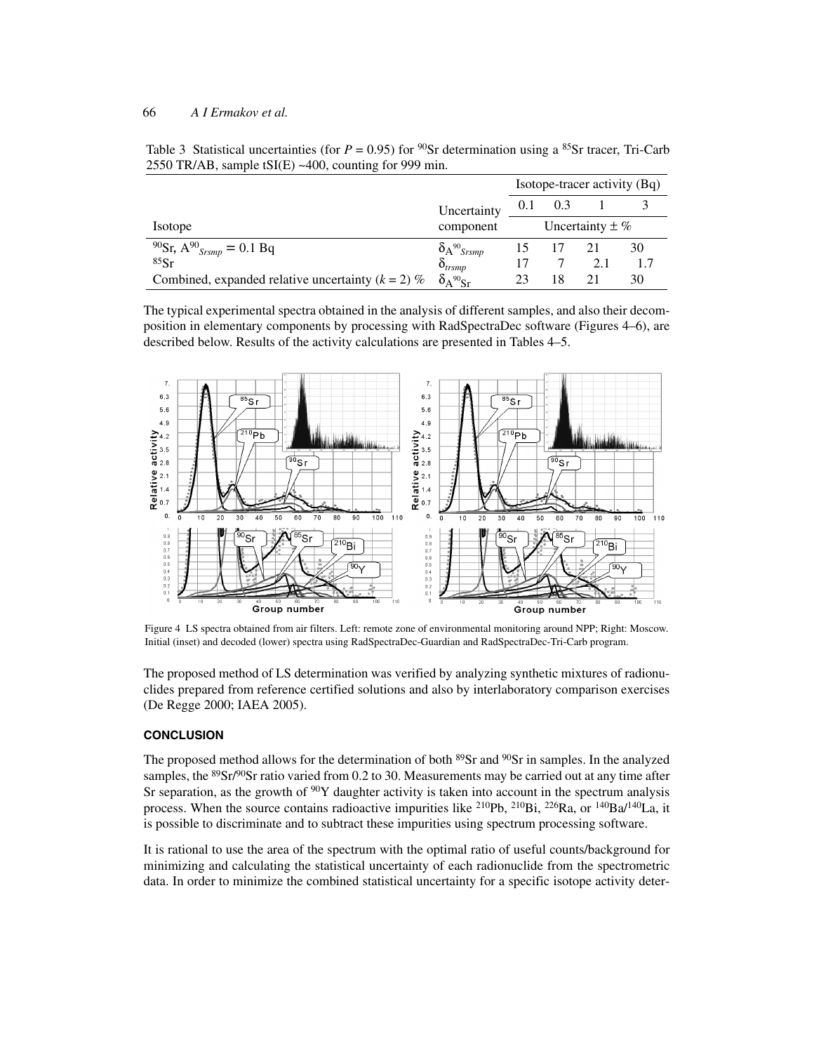#### 66 *A I Ermakov et al.*

| 2550 TR/AB, sample $tSI(E) \sim 400$ , counting for 999 min. |                       |                              |                      |  |  |
|--------------------------------------------------------------|-----------------------|------------------------------|----------------------|--|--|
|                                                              |                       | Isotope-tracer activity (Bq) |                      |  |  |
|                                                              | Uncertainty $0.1$ 0.3 |                              |                      |  |  |
| Isotope                                                      | component             |                              | Uncertainty $\pm \%$ |  |  |

90Sr**,** A90 *Srsmp* = 0.1 Bq δA90*Srsmp* 15 17 21 30  $85Sr$   $\delta_{trsmp}$  17 7 2.1 1.7 <sup>85</sup>Sr  $\delta_{trsmp}$  17 7 2.1 1.<br>Combined, expanded relative uncertainty (*k* = 2) %  $\delta_{A}^{90}$ <sub>Sr</sub> 23 18 21 30

Table 3 Statistical uncertainties (for  $P = 0.95$ ) for <sup>90</sup>Sr determination using a <sup>85</sup>Sr tracer, Tri-Carb

| The typical experimental spectra obtained in the analysis of different samples, and also their decom- |
|-------------------------------------------------------------------------------------------------------|
| position in elementary components by processing with RadSpectraDec software (Figures 4–6), are        |
| described below. Results of the activity calculations are presented in Tables 4–5.                    |



Figure 4 LS spectra obtained from air filters. Left: remote zone of environmental monitoring around NPP; Right: Moscow. Initial (inset) and decoded (lower) spectra using RadSpectraDec-Guardian and RadSpectraDec-Tri-Carb program.

The proposed method of LS determination was verified by analyzing synthetic mixtures of radionuclides prepared from reference certified solutions and also by interlaboratory comparison exercises (De Regge 2000; IAEA 2005).

#### **CONCLUSION**

The proposed method allows for the determination of both <sup>89</sup>Sr and <sup>90</sup>Sr in samples. In the analyzed samples, the <sup>89</sup>Sr/<sup>90</sup>Sr ratio varied from 0.2 to 30. Measurements may be carried out at any time after Sr separation, as the growth of  $90Y$  daughter activity is taken into account in the spectrum analysis process. When the source contains radioactive impurities like <sup>210</sup>Pb, <sup>210</sup>Bi, <sup>226</sup>Ra, or <sup>140</sup>Ba/<sup>140</sup>La, it is possible to discriminate and to subtract these impurities using spectrum processing software.

It is rational to use the area of the spectrum with the optimal ratio of useful counts/background for minimizing and calculating the statistical uncertainty of each radionuclide from the spectrometric data. In order to minimize the combined statistical uncertainty for a specific isotope activity deter-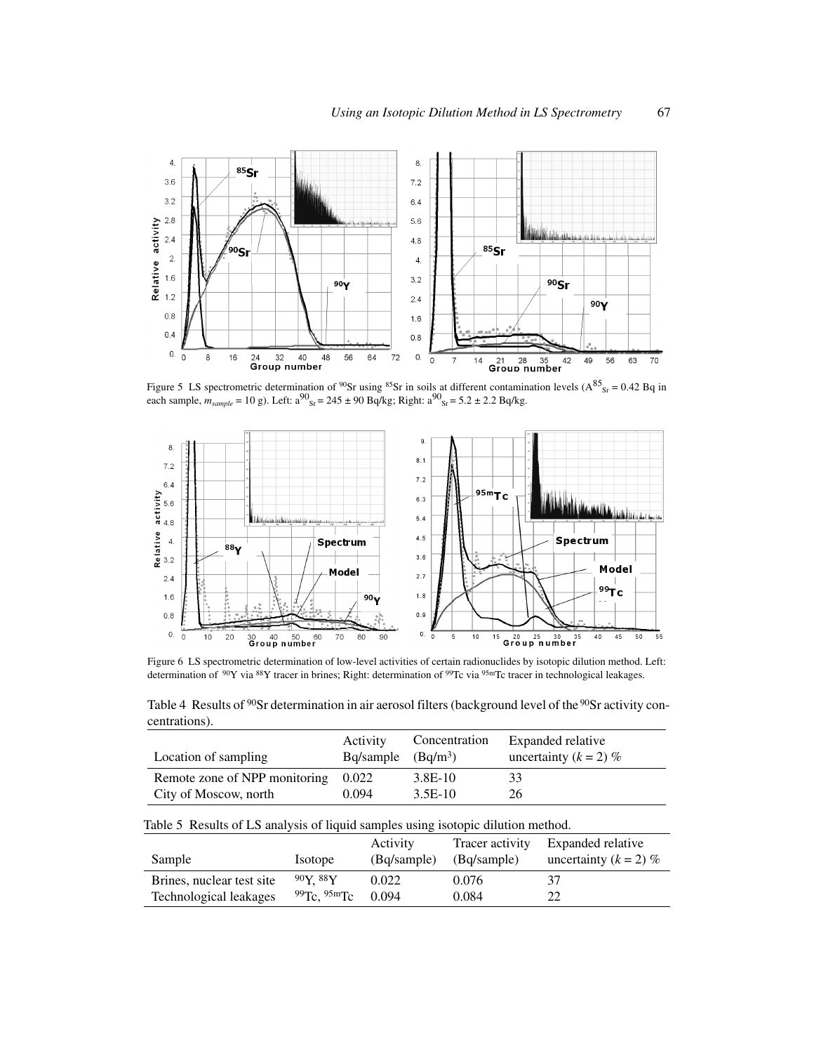

Figure 5 LS spectrometric determination of <sup>90</sup>Sr using <sup>85</sup>Sr in soils at different contamination levels ( $A^{85}$ <sub>Sr</sub> = 0.42 Bq in each sample,  $m_{sample} = 10 \text{ g}$ ). Left:  $a^{90}$ <sub>Sr</sub> = 245 ± 90 Bq/kg; Right:  $a^{90}$ <sub>Sr</sub> = 5.2 ± 2.2 Bq/kg.



Figure 6 LS spectrometric determination of low-level activities of certain radionuclides by isotopic dilution method. Left: determination of 90Y via 88Y tracer in brines; Right: determination of 99Tc via 95mTc tracer in technological leakages.

Table 4 Results of <sup>90</sup>Sr determination in air aerosol filters (background level of the <sup>90</sup>Sr activity concentrations).

| Location of sampling                | Activity<br>$Bq/sample$ $(Bq/m3)$ | Concentration | Expanded relative<br>uncertainty $(k = 2)$ % |
|-------------------------------------|-----------------------------------|---------------|----------------------------------------------|
| Remote zone of NPP monitoring 0.022 |                                   | 3.8E-10       | 33                                           |
| City of Moscow, north               | 0.094                             | 3.5E-10       | 26.                                          |

Table 5 Results of LS analysis of liquid samples using isotopic dilution method.

| Sample                    | <i>Isotope</i> | Activity<br>(Bq/sample) | Tracer activity<br>(Bq/sample) | Expanded relative<br>uncertainty $(k = 2)$ % |
|---------------------------|----------------|-------------------------|--------------------------------|----------------------------------------------|
| Brines, nuclear test site | $90Y$ 88Y      | 0.022                   | 0.076                          | 37                                           |
| Technological leakages    | 99Tc. 95mTc    | 0.094                   | 0.084                          |                                              |